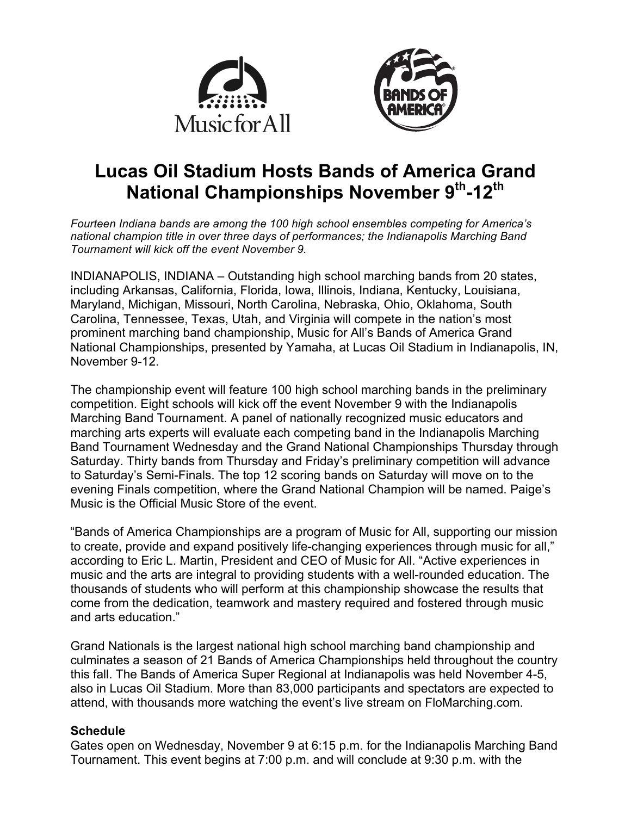



# **Lucas Oil Stadium Hosts Bands of America Grand National Championships November 9th-12th**

*Fourteen Indiana bands are among the 100 high school ensembles competing for America's national champion title in over three days of performances; the Indianapolis Marching Band Tournament will kick off the event November 9.*

INDIANAPOLIS, INDIANA – Outstanding high school marching bands from 20 states, including Arkansas, California, Florida, Iowa, Illinois, Indiana, Kentucky, Louisiana, Maryland, Michigan, Missouri, North Carolina, Nebraska, Ohio, Oklahoma, South Carolina, Tennessee, Texas, Utah, and Virginia will compete in the nation's most prominent marching band championship, Music for All's Bands of America Grand National Championships, presented by Yamaha, at Lucas Oil Stadium in Indianapolis, IN, November 9-12.

The championship event will feature 100 high school marching bands in the preliminary competition. Eight schools will kick off the event November 9 with the Indianapolis Marching Band Tournament. A panel of nationally recognized music educators and marching arts experts will evaluate each competing band in the Indianapolis Marching Band Tournament Wednesday and the Grand National Championships Thursday through Saturday. Thirty bands from Thursday and Friday's preliminary competition will advance to Saturday's Semi-Finals. The top 12 scoring bands on Saturday will move on to the evening Finals competition, where the Grand National Champion will be named. Paige's Music is the Official Music Store of the event.

"Bands of America Championships are a program of Music for All, supporting our mission to create, provide and expand positively life-changing experiences through music for all," according to Eric L. Martin, President and CEO of Music for All. "Active experiences in music and the arts are integral to providing students with a well-rounded education. The thousands of students who will perform at this championship showcase the results that come from the dedication, teamwork and mastery required and fostered through music and arts education."

Grand Nationals is the largest national high school marching band championship and culminates a season of 21 Bands of America Championships held throughout the country this fall. The Bands of America Super Regional at Indianapolis was held November 4-5, also in Lucas Oil Stadium. More than 83,000 participants and spectators are expected to attend, with thousands more watching the event's live stream on FloMarching.com.

#### **Schedule**

Gates open on Wednesday, November 9 at 6:15 p.m. for the Indianapolis Marching Band Tournament. This event begins at 7:00 p.m. and will conclude at 9:30 p.m. with the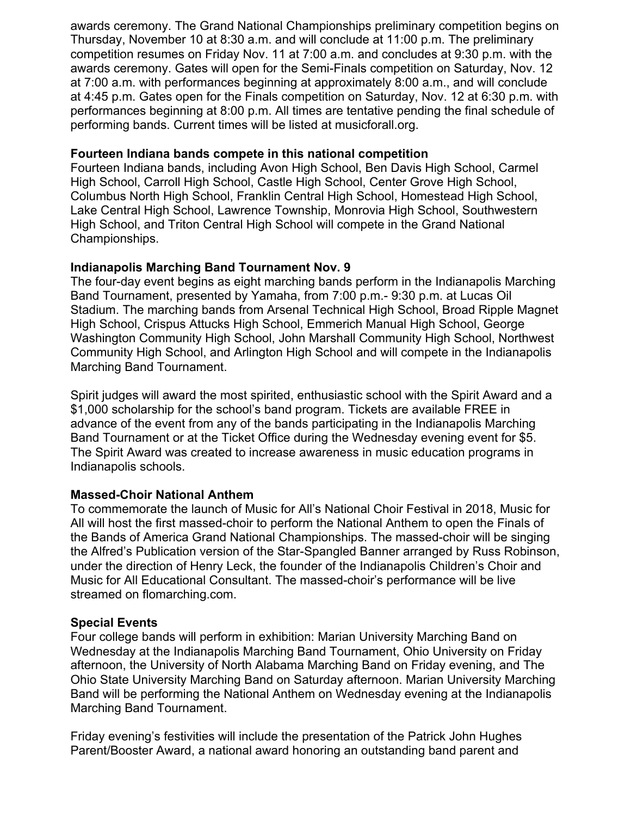awards ceremony. The Grand National Championships preliminary competition begins on Thursday, November 10 at 8:30 a.m. and will conclude at 11:00 p.m. The preliminary competition resumes on Friday Nov. 11 at 7:00 a.m. and concludes at 9:30 p.m. with the awards ceremony. Gates will open for the Semi-Finals competition on Saturday, Nov. 12 at 7:00 a.m. with performances beginning at approximately 8:00 a.m., and will conclude at 4:45 p.m. Gates open for the Finals competition on Saturday, Nov. 12 at 6:30 p.m. with performances beginning at 8:00 p.m. All times are tentative pending the final schedule of performing bands. Current times will be listed at musicforall.org.

### **Fourteen Indiana bands compete in this national competition**

Fourteen Indiana bands, including Avon High School, Ben Davis High School, Carmel High School, Carroll High School, Castle High School, Center Grove High School, Columbus North High School, Franklin Central High School, Homestead High School, Lake Central High School, Lawrence Township, Monrovia High School, Southwestern High School, and Triton Central High School will compete in the Grand National Championships.

## **Indianapolis Marching Band Tournament Nov. 9**

The four-day event begins as eight marching bands perform in the Indianapolis Marching Band Tournament, presented by Yamaha, from 7:00 p.m.- 9:30 p.m. at Lucas Oil Stadium. The marching bands from Arsenal Technical High School, Broad Ripple Magnet High School, Crispus Attucks High School, Emmerich Manual High School, George Washington Community High School, John Marshall Community High School, Northwest Community High School, and Arlington High School and will compete in the Indianapolis Marching Band Tournament.

Spirit judges will award the most spirited, enthusiastic school with the Spirit Award and a \$1,000 scholarship for the school's band program. Tickets are available FREE in advance of the event from any of the bands participating in the Indianapolis Marching Band Tournament or at the Ticket Office during the Wednesday evening event for \$5. The Spirit Award was created to increase awareness in music education programs in Indianapolis schools.

## **Massed-Choir National Anthem**

To commemorate the launch of Music for All's National Choir Festival in 2018, Music for All will host the first massed-choir to perform the National Anthem to open the Finals of the Bands of America Grand National Championships. The massed-choir will be singing the Alfred's Publication version of the Star-Spangled Banner arranged by Russ Robinson, under the direction of Henry Leck, the founder of the Indianapolis Children's Choir and Music for All Educational Consultant. The massed-choir's performance will be live streamed on flomarching.com.

## **Special Events**

Four college bands will perform in exhibition: Marian University Marching Band on Wednesday at the Indianapolis Marching Band Tournament, Ohio University on Friday afternoon, the University of North Alabama Marching Band on Friday evening, and The Ohio State University Marching Band on Saturday afternoon. Marian University Marching Band will be performing the National Anthem on Wednesday evening at the Indianapolis Marching Band Tournament.

Friday evening's festivities will include the presentation of the Patrick John Hughes Parent/Booster Award, a national award honoring an outstanding band parent and